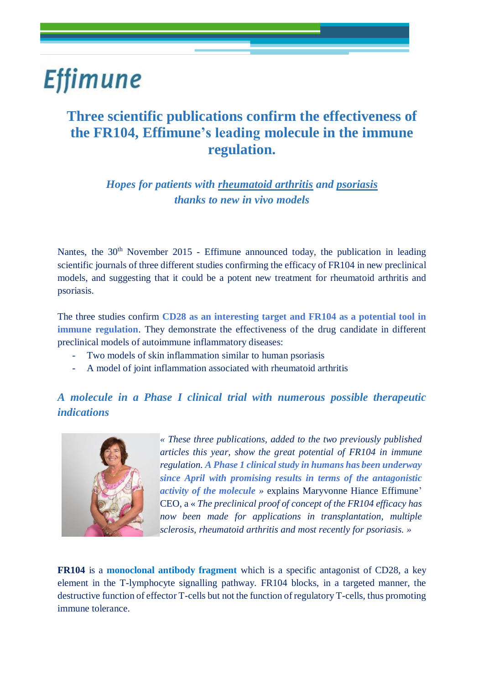# **Effimune**

### **Three scientific publications confirm the effectiveness of the FR104, Effimune's leading molecule in the immune regulation.**

*Hopes for patients with rheumatoid arthritis and psoriasis thanks to new in vivo models*

Nantes, the 30<sup>th</sup> November 2015 - Effimune announced today, the publication in leading scientific journals of three different studies confirming the efficacy of FR104 in new preclinical models, and suggesting that it could be a potent new treatment for rheumatoid arthritis and psoriasis.

The three studies confirm **CD28 as an interesting target and FR104 as a potential tool in immune regulation**. They demonstrate the effectiveness of the drug candidate in different preclinical models of autoimmune inflammatory diseases:

- Two models of skin inflammation similar to human psoriasis
- A model of joint inflammation associated with rheumatoid arthritis

### *A molecule in a Phase I clinical trial with numerous possible therapeutic indications*



*« These three publications, added to the two previously published articles this year, show the great potential of FR104 in immune regulation. A Phase 1 clinical study in humans has been underway since April with promising results in terms of the antagonistic activity of the molecule »* explains Maryvonne Hiance Effimune' CEO, a « *The preclinical proof of concept of the FR104 efficacy has now been made for applications in transplantation, multiple sclerosis, rheumatoid arthritis and most recently for psoriasis. »*

**FR104** is a **monoclonal antibody fragment** which is a specific antagonist of CD28, a key element in the T-lymphocyte signalling pathway. FR104 blocks, in a targeted manner, the destructive function of effector T-cells but not the function of regulatory T-cells, thus promoting immune tolerance.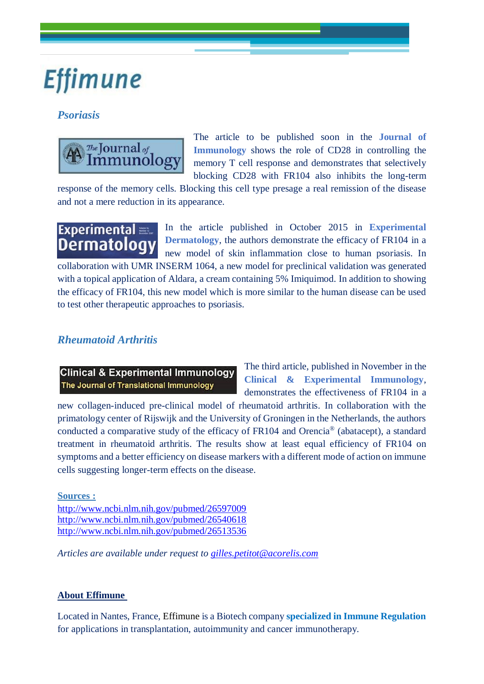# **Effimune**

#### *Psoriasis*



The article to be published soon in the **Journal of Immunology** shows the role of CD28 in controlling the memory T cell response and demonstrates that selectively blocking CD28 with FR104 also inhibits the long-term

response of the memory cells. Blocking this cell type presage a real remission of the disease and not a mere reduction in its appearance.

In the article published in October 2015 in **Experimental Experimental Dermatology Dermatology**, the authors demonstrate the efficacy of FR104 in a new model of skin inflammation close to human psoriasis. In collaboration with UMR INSERM 1064, a new model for preclinical validation was generated with a topical application of Aldara, a cream containing 5% Imiquimod. In addition to showing the efficacy of FR104, this new model which is more similar to the human disease can be used to test other therapeutic approaches to psoriasis.

#### *Rheumatoid Arthritis*

**Clinical & Experimental Immunology** The Journal of Translational Immunology

The third article, published in November in the **Clinical & Experimental Immunology**, demonstrates the effectiveness of FR104 in a

new collagen-induced pre-clinical model of rheumatoid arthritis. In collaboration with the primatology center of Rijswijk and the University of Groningen in the Netherlands, the authors conducted a comparative study of the efficacy of FR104 and Orencia® (abatacept), a standard treatment in rheumatoid arthritis. The results show at least equal efficiency of FR104 on symptoms and a better efficiency on disease markers with a different mode of action on immune cells suggesting longer-term effects on the disease.

**Sources :**

<http://www.ncbi.nlm.nih.gov/pubmed/26597009> <http://www.ncbi.nlm.nih.gov/pubmed/26540618> <http://www.ncbi.nlm.nih.gov/pubmed/26513536>

*Articles are available under request to [gilles.petitot@acorelis.com](mailto:gilles.petitot@acorelis.com)*

#### **About Effimune**

Located in Nantes, France, Effimune is a Biotech company **specialized in Immune Regulation** for applications in transplantation, autoimmunity and cancer immunotherapy.